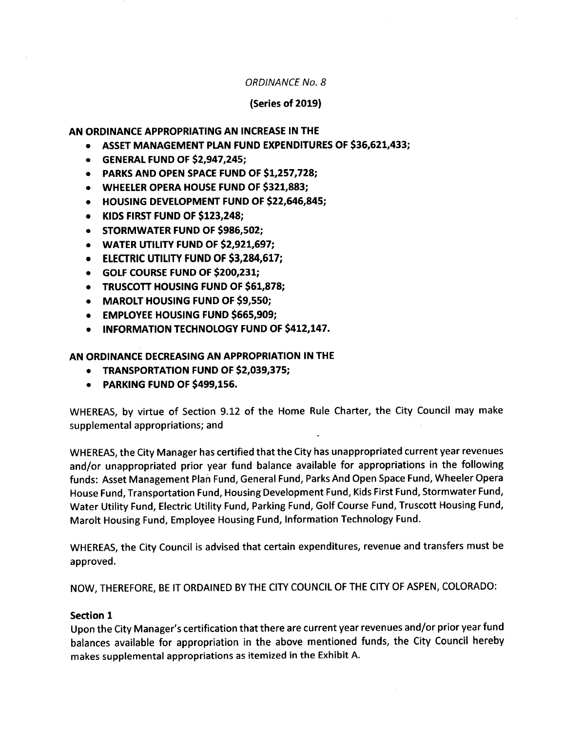## ORDINANCE No. 8

## Series of 2019)

### AN ORDINANCE APPROPRIATING AN INCREASE IN THE

- ASSET MANAGEMENT PLAN FUND EXPENDITURES OF \$36,621,433;
- $\bullet$  GENERAL FUND OF \$2,947,245;
- PARKS AND OPEN SPACE FUND OF \$1,257,728;
- WHEELER OPERA HOUSE FUND OF \$321,883;
- HOUSING DEVELOPMENT FUND OF \$22,646,845;
- KIDS FIRST FUND OF \$123,248;
- STORMWATER FUND OF \$986,502;  $\bullet$
- WATER UTILITY FUND OF \$2,921,697;  $\bullet$
- $\bullet$  ELECTRIC UTILITY FUND OF \$3,284,617;
- **GOLF COURSE FUND OF \$200,231;**
- TRUSCOTT HOUSING FUND OF \$61,878;
- MAROLT HOUSING FUND OF \$9,550;
- **EMPLOYEE HOUSING FUND \$665,909;**
- INFORMATION TECHNOLOGY FUND OF \$412,147.  $\bullet$

AN ORDINANCE DECREASING AN APPROPRIATION IN THE

- TRANSPORTATION FUND OF \$2,039,375;  $\bullet$
- PARKING FUND OF \$499,156.

WHEREAS, by virtue of Section 9.12 of the Home Rule Charter, the City Council may make supplemental appropriations; and

WHEREAS, the City Manager has certified that the City has unappropriated current year revenues and/or unappropriated prior year fund balance available for appropriations in the following funds: Asset Management Plan Fund, General Fund, Parks And Open Space Fund, Wheeler Opera House Fund, Transportation Fund, Housing Development Fund, Kids First Fund, Stormwater Fund, Water Utility Fund, Electric Utility Fund, Parking Fund, Golf Course Fund, Truscott Housing Fund, Marolt Housing Fund, Employee Housing Fund, Information Technology Fund.

WHEREAS, the City Council is advised that certain expenditures, revenue and transfers must be approved.

NOW, THEREFORE, BE IT ORDAINED BY THE CITY COUNCIL OF THE CITY OF ASPEN, COLORADO:

### Section 1

Upon the City Manager's certification that there are current year revenues and/or prior year fund balances available for appropriation in the above mentioned funds, the City Council hereby makes supplemental appropriations as itemized in the Exhibit A.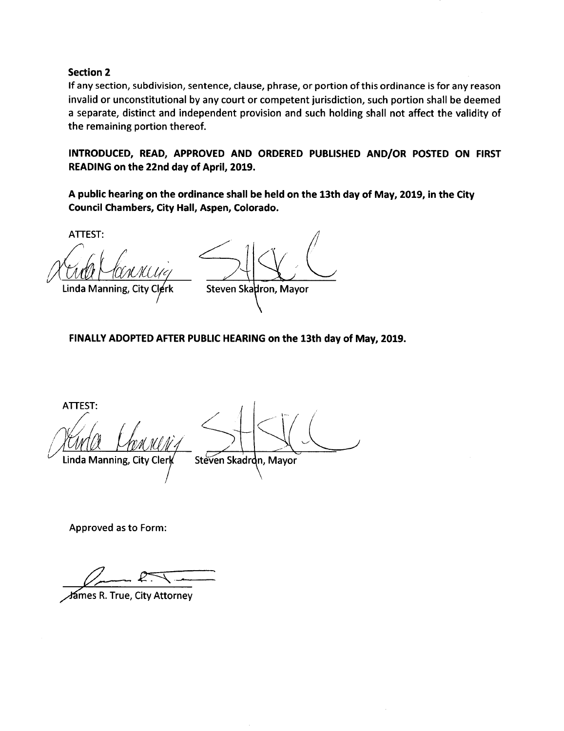# Section 2

If any section, subdivision, sentence, clause, phrase, or portion of this ordinance is for any reason invalid or unconstitutional by any court or competent jurisdiction, such portion shall be deemed <sup>a</sup> separate, distinct and independent provision and such holding shall not affect the validity of the remaining portion thereof.

INTRODUCED, READ, APPROVED AND ORDERED PUBLISHED AND/OR POSTED ON FIRST READING on the 22nd day of April, 2019.

A public hearing on the ordinance shall be held on the 13th day of May, 2019, in the City Council Chambers, City Hall, Aspen, Colorado.

ATTEST:

Linda Manning, City Clerk Steven Skadron, Mayor

FINALLY ADOPTED AFTER PUBLIC HEARING on the 13th day of May, 2019.

ATTEST: Linda Manning, City Clerk Steven Skadrdn, Mayor

Approved as to Form:

mes R. True, City Attorney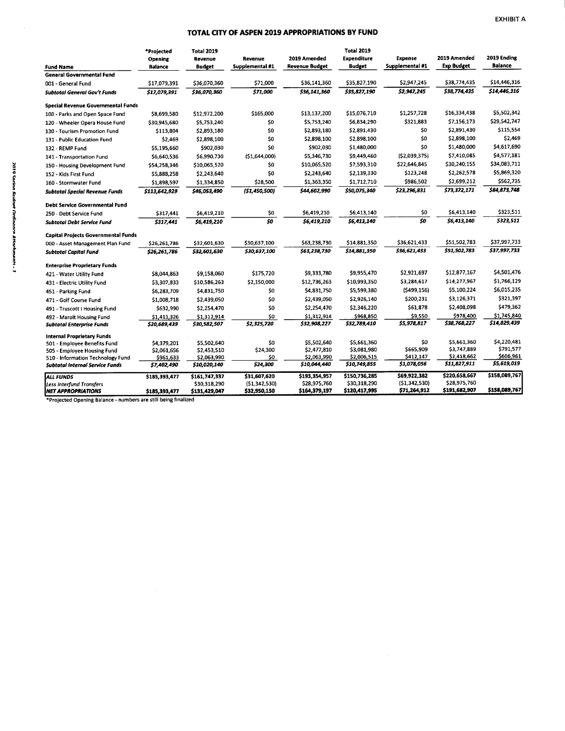#### TOTAL CITY OF ASPEN 2019 APPROPRIATIONS BY FUND

|                                                                             | *Projected<br>Opening    | Total 2019<br>Revenue       | Revenue         | 2019 Amended                | Total 2019<br><b>Expenditure</b> | <b>Expense</b>           | 2019 Amended                | 2019 Ending            |
|-----------------------------------------------------------------------------|--------------------------|-----------------------------|-----------------|-----------------------------|----------------------------------|--------------------------|-----------------------------|------------------------|
| <b>Fund Name</b>                                                            | <b>Balance</b>           | <b>Budget</b>               | Supplemental #1 | Revenue Budget              | Budget                           | Supplemental #1          | <b>Exp Budget</b>           | Balance                |
| <b>General Governmental Fund</b>                                            |                          |                             |                 |                             |                                  |                          |                             |                        |
| 001 - General Fund                                                          | \$17,079,391             | \$36,070,360                | \$71,000        | \$36,141,360                | \$35,827,190                     | \$2,947,245              | \$38,774,435                | \$14,446,316           |
| Subtotal General Gov't Funds                                                | \$17,079,391             | \$36,070,360                | \$71,000        | \$36,141,360                | \$35,827,190                     | \$2,947,245              | \$38,774,435                | \$14,446,316           |
| Special Revenue Governmental Funds                                          |                          |                             |                 |                             |                                  |                          |                             |                        |
| 100 - Parks and Open Space Fund                                             | \$8,699,580              | \$12,972,200                | \$165,000       | \$13,137,200                | \$15,076,710                     | \$1,257,728              | \$16,334,438                | \$5,502,342            |
| 120 - Wheeler Opera House Fund                                              | \$30,945,680             | \$5,753,240                 | \$0             | \$5,753,240                 | \$6,834,290                      | \$321,883                | \$7,156,173                 | \$29,542,747           |
| 130 - Tourism Promotion Fund                                                | \$113,804                | \$2,893,180                 | \$0             | \$2,893,180                 | \$2,891,430                      | \$0                      | \$2,891,430                 | \$115,554              |
| 131 - Public Education Fund                                                 | \$2,469                  | \$2,898,100                 | \$0             | \$2,898,100                 | \$2,898,100                      | \$0                      | \$2,898,100                 | \$2,469                |
| 132 - REMP Fund                                                             | \$5,195,660              | \$902,030                   | \$0             | \$902,030                   | \$1,480,000                      | SO.                      | \$1,480,000                 | \$4,617,690            |
| 141 - Transportation Fund                                                   | \$6,640,536              | \$6,990,730                 | (51,644,000)    | \$5,346,730                 | \$9,449,460                      | (52,039,375)             | \$7,410,085                 | \$4,577,181            |
| 150 - Housing Development Fund                                              | \$54,258,346             | \$10,065,520                | \$0             | \$10,065,520                | \$7,593,310                      | \$22,646,845             | \$30,240,155                | \$34,083,711           |
| 152 - Kids First Fund                                                       | \$5,888,258              | \$2,243,640                 | \$0             | \$2,243,640                 | \$2,139,330                      | \$123,248                | \$2,262,578                 | \$5,869,320            |
| 160 - Stormwater Fund                                                       | \$1,898,597              | \$1,334,850                 | \$28,500        | \$1,363,350                 | \$1,712,710                      | \$986,502                | \$2,699,212                 | \$562,735              |
| Subtotal Special Revenue Funds                                              | \$113,642,929            | \$46,053,490                | (\$1,450,500]   | \$44,602,990                | \$50,075,340                     | \$23,296,831             | \$73,372,171                | \$84,873,748           |
| Debt Service Governmental Fund                                              |                          |                             |                 |                             |                                  |                          |                             |                        |
| 250 - Debt Service Fund                                                     | \$317,441                | \$6,419,210                 | \$0             | \$6,419,210                 | \$6,413,140                      | \$0                      | \$6,413,140                 | \$323,511              |
| <b>Subtotal Debt Service Fund</b>                                           | \$317,441                | \$6,419,210                 | \$0             | \$6,419,210                 | \$6,413,140                      | 50                       | \$6,413,140                 | \$323,511              |
| Capital Projects Governmental Funds                                         |                          |                             |                 |                             |                                  |                          |                             |                        |
| 000 - Asset Management Plan Fund                                            | \$26,261,786             | \$32,601,630                | \$30,637,100    | \$63,238,730                | \$14,881,350                     | \$36,621,433             | \$51,502,783                | \$37,997,733           |
| Subtotal Capital Fund                                                       | \$26,261,786             | \$32,601,630                | \$30,637,100    | \$63,238,730                | \$14,881,350                     | \$36,621,433             | \$51,502,783                | \$37,997,733           |
| <b>Enterprise Proprietary Funds</b>                                         |                          |                             |                 |                             |                                  |                          |                             |                        |
| 421 - Water Utility Fund                                                    | \$8,044,863              | \$9,158,060                 | \$175,720       | \$9,333,780                 | \$9,955,470                      | \$2,921,697              | \$12,877,167                | \$4,501,476            |
| 431 - Electric Utility Fund                                                 | \$3,307,833              | \$10,586,263                | \$2,150,000     | \$12,736,263                | \$10,993,350                     | \$3,284,617              | \$14,277,967                | \$1,766,129            |
| 451 - Parking Fund                                                          | \$6,283,709              | \$4,831,750                 | \$0             | \$4,831,750                 | \$5,599,380                      | (\$499,156)              | \$5,100,224                 | \$6,015,235            |
| 471 - Golf Course Fund                                                      | \$1,008,718              | \$2,439,050                 | \$0             | \$2,439,050                 | \$2,926,140                      | \$200,231                | \$3,126,371                 | \$321,397              |
| 491 - Truscott I Housing Fund                                               | \$632,990                | \$2,254,470                 | \$0             | \$2,254,470                 | \$2,346,220                      | \$61,878                 | \$2,408,098                 | \$479,362              |
| 492 - Marolt Housing Fund                                                   | \$1,411,326              | \$1,312,914                 | \$0             | \$1,312,914                 | \$968,850                        | \$9,550                  | \$978,400                   | \$1,745,840            |
| <b>Subtotal Enterprise Funds</b>                                            | \$20,689,439             | \$30,582,507                | \$2,325,720     | \$32,908,227                | \$32,789,410                     | \$5,978,817              | \$38,768,227                | \$14,829,439           |
| <b>Internal Proprietary Funds</b>                                           |                          |                             |                 |                             |                                  |                          |                             |                        |
| 501 - Employee Benefits Fund                                                | \$4,379,201              | \$5,502,640                 | \$0             | \$5,502,640                 | \$5,661,360                      | \$0                      | \$5,661,360                 | \$4,220,481            |
| 505 - Employee Housing Fund                                                 | \$2,061,656              | \$2,453,510                 | \$24,300        | \$2,477,810                 | \$3,081,980                      | \$665,909                | \$3,747,889                 | \$791,577<br>\$606,961 |
| 510 - Information Technology Fund<br><b>Subtotal Internal Service Funds</b> | \$961,633<br>\$7,402,490 | \$2,063,990<br>\$10,020,140 | \$0<br>\$24,300 | \$2,063,990<br>\$10,044,440 | \$2,006,515<br>\$10,749,855      | \$412,147<br>\$1,078,056 | \$2,418,662<br>\$11,827,911 | \$5,619,019            |
| <b>ALL FUNDS</b>                                                            | \$185,393,477            | \$161,747,337               | \$31,607,620    | \$193,354,957               | \$150,736,285                    | \$69,922,382             | \$220,658,667               | \$158,089,767          |
| <b>Less Interfund Transfers</b>                                             |                          | \$30,318,290                | (51,342,530)    | \$28,975,760                | \$30,318,290                     | (51,342,530)             | \$28,975,760                |                        |
| <b>NET APPROPRIATIONS</b>                                                   | \$185,393,477            | \$131,429,047               | \$32,950,150    | \$164,379,197               | \$120,417,995                    | \$71,264,912             | \$191,682,907               | \$158,089,767          |

Projected Opening Balance- numbers are still being finalized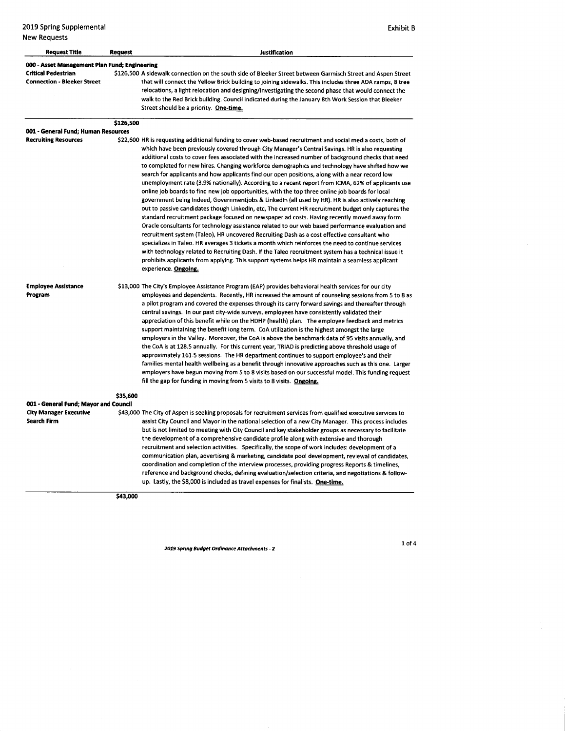2019 Spring Supplemental **Exhibit B** and Contact Supplemental Exhibit B and Contact Supplemental Exhibit B and Contact Supplemental Exhibit B and Contact Supplemental Exhibit B and Contact Supplemental Exhibit B and Contac New Requests

| <b>Request Title</b>                                      | <b>Request</b> | <b>Justification</b>                                                                                                                                                                                                                                                                                                                                                                                                                                                                                                                                                                                                                                                                                                                                                                                                                                                                                                                                                                                                                                                                                                                                                                                                                                                                                                                                                                                                                                                                                                                                                                      |
|-----------------------------------------------------------|----------------|-------------------------------------------------------------------------------------------------------------------------------------------------------------------------------------------------------------------------------------------------------------------------------------------------------------------------------------------------------------------------------------------------------------------------------------------------------------------------------------------------------------------------------------------------------------------------------------------------------------------------------------------------------------------------------------------------------------------------------------------------------------------------------------------------------------------------------------------------------------------------------------------------------------------------------------------------------------------------------------------------------------------------------------------------------------------------------------------------------------------------------------------------------------------------------------------------------------------------------------------------------------------------------------------------------------------------------------------------------------------------------------------------------------------------------------------------------------------------------------------------------------------------------------------------------------------------------------------|
| 000 - Asset Management Plan Fund; Engineering             |                |                                                                                                                                                                                                                                                                                                                                                                                                                                                                                                                                                                                                                                                                                                                                                                                                                                                                                                                                                                                                                                                                                                                                                                                                                                                                                                                                                                                                                                                                                                                                                                                           |
| Critical Pedestrian<br><b>Connection - Bleeker Street</b> |                | \$126,500 A sidewalk connection on the south side of Bleeker Street between Garmisch Street and Aspen Street<br>that will connect the Yellow Brick building to joining sidewalks. This includes three ADA ramps, 8 tree<br>relocations, a light relocation and designing/investigating the second phase that would connect the<br>walk to the Red Brick building. Council indicated during the January 8th Work Session that Bleeker<br>Street should be a priority. One-time.                                                                                                                                                                                                                                                                                                                                                                                                                                                                                                                                                                                                                                                                                                                                                                                                                                                                                                                                                                                                                                                                                                            |
|                                                           | \$126,500      |                                                                                                                                                                                                                                                                                                                                                                                                                                                                                                                                                                                                                                                                                                                                                                                                                                                                                                                                                                                                                                                                                                                                                                                                                                                                                                                                                                                                                                                                                                                                                                                           |
| 001 - General Fund; Human Resources                       |                |                                                                                                                                                                                                                                                                                                                                                                                                                                                                                                                                                                                                                                                                                                                                                                                                                                                                                                                                                                                                                                                                                                                                                                                                                                                                                                                                                                                                                                                                                                                                                                                           |
| <b>Recruiting Resources</b>                               |                | \$22,600 HR is requesting additional funding to cover web-based recruitment and social media costs, both of<br>which have been previously covered through City Manager's Central Sayings. HR is also requesting<br>additional costs to cover fees associated with the increased number of background checks that need<br>to completed for new hires. Changing workforce demographics and technology have shifted how we<br>search for applicants and how applicants find our open positions, along with a near record low<br>unemployment rate (3.9% nationally). According to a recent report from ICMA, 62% of applicants use<br>online job boards to find new job opportunities, with the top three online job boards for local<br>government being Indeed, Governmentjobs & LinkedIn (all used by HR). HR is also actively reaching<br>out to passive candidates though Linkedin, etc. The current HR recruitment budget only captures the<br>standard recruitment package focused on newspaper ad costs. Having recently moved away form<br>Oracle consultants for technology assistance related to our web based performance evaluation and<br>recruitment system (Taleo), HR uncovered Recruiting Dash as a cost effective consultant who<br>specializes in Taleo. HR averages 3 tickets a month which reinforces the need to continue services<br>with technology related to Recruiting Dash. If the Taleo recruitment system has a technical issue it<br>prohibits applicants from applying. This support systems helps HR maintain a seamless applicant<br>experience. Ongoing. |
| <b>Employee Assistance</b><br>Program                     |                | \$13,000 The City's Employee Assistance Program (EAP) provides behavioral health services for our city<br>employees and dependents. Recently, HR increased the amount of counseling sessions from 5 to 8 as<br>a pilot program and covered the expenses through its carry forward savings and thereafter through                                                                                                                                                                                                                                                                                                                                                                                                                                                                                                                                                                                                                                                                                                                                                                                                                                                                                                                                                                                                                                                                                                                                                                                                                                                                          |

central savings. In our past city- wide surveys, employees have consistently validated their appreciation of this benefit while on the HDHP (health) plan. The employee feedback and metrics support maintaining the benefit long term. CoA utilization is the highest amongst the large employers in the Valley. Moreover, the CoA is above the benchmark data of 95 visits annually, and the CoA is at 128.5 annually. For this current year, TRIAD is predicting above threshold usage of approximately 161.5 sessions. The HR department continues to support employee's and their families mental health wellbeing as <sup>a</sup> benefit through innovative approaches such as this one. Larger employers have begun moving from <sup>5</sup> to 8 visits based on our successful model. This funding request fill the gap for funding in moving from 5 visits to 8 visits. Ongoing.

\$35,600 001- General Fund; Mayor and Council City Manager Executive  $$43,000$  The City of Aspen is seeking proposals for recruitment services from qualified executive services to<br>Search Firm assist City Council and Mayor in the national selection of a new City Manage assist City Council and Mayor in the national selection of a new City Manager. This process includes but is not limited to meeting with City Council and key stakeholder groups as necessary to facilitate the development of a comprehensive candidate profile along with extensive and thorough recruitment and selection activities. Specifically, the scope of work includes: development of <sup>a</sup> communication plan, advertising& marketing, candidate pool development, reviewal of candidates, coordination and completion of the interview processes, providing progress Reports& timelines, reference and background checks, defining evaluation/selection criteria, and negotiations & followup. Lastly, the \$8,000 is included as travel expenses for finalists. One-time.

\$43,000

2019 Spring Budget Ordinance Attachments- 2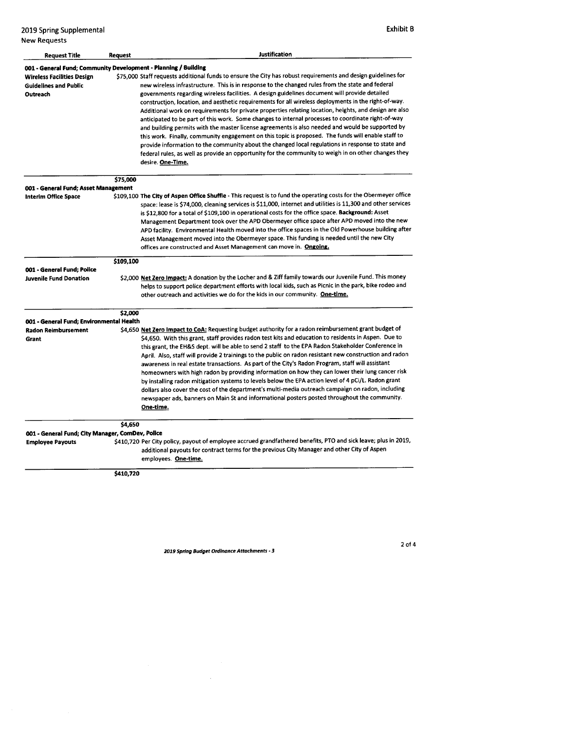2019 Spring Supplemental **Exhibit B** New Requests

| <b>Request Title</b>                                                            | Request   | <b>Justification</b>                                                                                                                                                                                                                                                                                                                                                                                                                                                                                                                                                                                                                                                                                                                                                                                                                                                                                                                                                                                                                                                                   |
|---------------------------------------------------------------------------------|-----------|----------------------------------------------------------------------------------------------------------------------------------------------------------------------------------------------------------------------------------------------------------------------------------------------------------------------------------------------------------------------------------------------------------------------------------------------------------------------------------------------------------------------------------------------------------------------------------------------------------------------------------------------------------------------------------------------------------------------------------------------------------------------------------------------------------------------------------------------------------------------------------------------------------------------------------------------------------------------------------------------------------------------------------------------------------------------------------------|
| 001 - General Fund; Community Development - Planning / Building                 |           |                                                                                                                                                                                                                                                                                                                                                                                                                                                                                                                                                                                                                                                                                                                                                                                                                                                                                                                                                                                                                                                                                        |
| <b>Wireless Facilities Design</b><br><b>Guidelines and Public</b><br>Outreach   |           | \$75,000 Staff requests additional funds to ensure the City has robust requirements and design guidelines for<br>new wireless infrastructure. This is in response to the changed rules from the state and federal<br>governments regarding wireless facilities. A design guidelines document will provide detailed<br>construction, location, and aesthetic requirements for all wireless deployments in the right-of-way.<br>Additional work on requirements for private properties relating location, heights, and design are also<br>anticipated to be part of this work. Some changes to internal processes to coordinate right-of-way<br>and building permits with the master license agreements is also needed and would be supported by<br>this work. Finally, community engagement on this topic is proposed. The funds will enable staff to<br>provide information to the community about the changed local regulations in response to state and<br>federal rules, as well as provide an opportunity for the community to weigh in on other changes they<br>desire. One-Time. |
|                                                                                 | \$75,000  |                                                                                                                                                                                                                                                                                                                                                                                                                                                                                                                                                                                                                                                                                                                                                                                                                                                                                                                                                                                                                                                                                        |
| 001 - General Fund; Asset Management                                            |           |                                                                                                                                                                                                                                                                                                                                                                                                                                                                                                                                                                                                                                                                                                                                                                                                                                                                                                                                                                                                                                                                                        |
| <b>Interim Office Space</b>                                                     |           | \$109,100 The City of Aspen Office Shuffle - This request is to fund the operating costs for the Obermeyer office<br>space: lease is \$74,000, cleaning services is \$11,000, internet and utilities is 11,300 and other services<br>is \$12,800 for a total of \$109,100 in operational costs for the office space. Background: Asset<br>Management Department took over the APD Obermeyer office space after APD moved into the new<br>APD facility. Environmental Health moved into the office spaces in the Old Powerhouse building after<br>Asset Management moved into the Obermeyer space. This funding is needed until the new City<br>offices are constructed and Asset Management can move in. Ongoing.                                                                                                                                                                                                                                                                                                                                                                      |
|                                                                                 | \$109,100 |                                                                                                                                                                                                                                                                                                                                                                                                                                                                                                                                                                                                                                                                                                                                                                                                                                                                                                                                                                                                                                                                                        |
| 001 - General Fund; Police                                                      |           |                                                                                                                                                                                                                                                                                                                                                                                                                                                                                                                                                                                                                                                                                                                                                                                                                                                                                                                                                                                                                                                                                        |
| <b>Juvenile Fund Donation</b>                                                   |           | \$2,000 Net Zero Impact: A donation by the Locher and & Ziff family towards our Juvenile Fund. This money<br>helps to support police department efforts with local kids, such as Picnic in the park, bike rodeo and<br>other outreach and activities we do for the kids in our community. One-time.                                                                                                                                                                                                                                                                                                                                                                                                                                                                                                                                                                                                                                                                                                                                                                                    |
|                                                                                 | \$2,000   |                                                                                                                                                                                                                                                                                                                                                                                                                                                                                                                                                                                                                                                                                                                                                                                                                                                                                                                                                                                                                                                                                        |
| 001 - General Fund; Environmental Health<br><b>Radon Reimbursement</b><br>Grant |           | \$4,650 Net Zero Impact to CoA: Requesting budget authority for a radon reimbursement grant budget of<br>\$4,650. With this grant, staff provides radon test kits and education to residents in Aspen. Due to                                                                                                                                                                                                                                                                                                                                                                                                                                                                                                                                                                                                                                                                                                                                                                                                                                                                          |
|                                                                                 |           | this grant, the EH&S dept. will be able to send 2 staff to the EPA Radon Stakeholder Conference in<br>April. Also, staff will provide 2 trainings to the public on radon resistant new construction and radon<br>awareness in real estate transactions. As part of the City's Radon Program, staff will assistant<br>homeowners with high radon by providing information on how they can lower their lung cancer risk<br>by installing radon mitigation systems to levels below the EPA action level of 4 pCi/L. Radon grant<br>dollars also cover the cost of the department's multi-media outreach campaign on radon, including<br>newspaper ads, banners on Main St and informational posters posted throughout the community.<br>One-time.                                                                                                                                                                                                                                                                                                                                         |
|                                                                                 | \$4,650   |                                                                                                                                                                                                                                                                                                                                                                                                                                                                                                                                                                                                                                                                                                                                                                                                                                                                                                                                                                                                                                                                                        |
| 001 - General Fund; City Manager, ComDev, Police                                |           |                                                                                                                                                                                                                                                                                                                                                                                                                                                                                                                                                                                                                                                                                                                                                                                                                                                                                                                                                                                                                                                                                        |
| <b>Employee Payouts</b>                                                         |           | \$410,720 Per City policy, payout of employee accrued grandfathered benefits, PTO and sick leave; plus in 2019,<br>additional payouts for contract terms for the previous City Manager and other City of Aspen<br>employees. One-time.                                                                                                                                                                                                                                                                                                                                                                                                                                                                                                                                                                                                                                                                                                                                                                                                                                                 |

\$410,720

2019 Spring Budget Ordinance Attachments- 3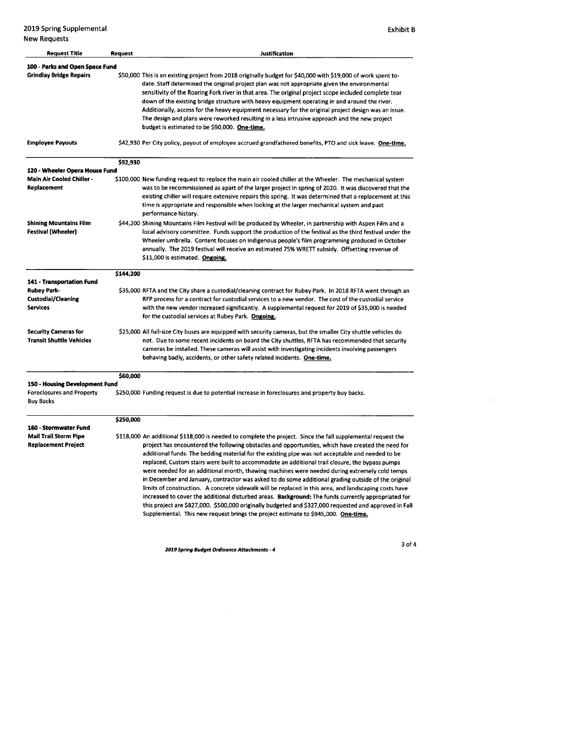2019 Spring Supplemental Exhibit <sup>B</sup> New Requests

| <b>Request Title</b>                                                                   | Request   | <b>Justification</b>                                                                                                                                                                                                                                                                                                                                                                                                                                                                                                                                                                                                                                                                                                                                                                                                                                                                                                                                                                                                                              |
|----------------------------------------------------------------------------------------|-----------|---------------------------------------------------------------------------------------------------------------------------------------------------------------------------------------------------------------------------------------------------------------------------------------------------------------------------------------------------------------------------------------------------------------------------------------------------------------------------------------------------------------------------------------------------------------------------------------------------------------------------------------------------------------------------------------------------------------------------------------------------------------------------------------------------------------------------------------------------------------------------------------------------------------------------------------------------------------------------------------------------------------------------------------------------|
| 100 - Parks and Open Space Fund                                                        |           |                                                                                                                                                                                                                                                                                                                                                                                                                                                                                                                                                                                                                                                                                                                                                                                                                                                                                                                                                                                                                                                   |
| <b>Grindlay Bridge Repairs</b>                                                         |           | \$50,000 This is an existing project from 2018 originally budget for \$40,000 with \$19,000 of work spent to-<br>date. Staff determined the original project plan was not appropriate given the environmental<br>sensitivity of the Roaring Fork river in that area. The original project scope included complete tear<br>down of the existing bridge structure with heavy equipment operating in and around the river.<br>Additionally, access for the heavy equipment necessary for the original project design was an issue.<br>The design and plans were reworked resulting in a less intrusive approach and the new project<br>budget is estimated to be \$90,000. One-time.                                                                                                                                                                                                                                                                                                                                                                 |
| <b>Employee Payouts</b>                                                                |           | \$42,930 Per City policy, payout of employee accrued grandfathered benefits, PTO and sick leave. One-time,                                                                                                                                                                                                                                                                                                                                                                                                                                                                                                                                                                                                                                                                                                                                                                                                                                                                                                                                        |
|                                                                                        | \$92,930  |                                                                                                                                                                                                                                                                                                                                                                                                                                                                                                                                                                                                                                                                                                                                                                                                                                                                                                                                                                                                                                                   |
| 120 - Wheeler Opera House Fund                                                         |           |                                                                                                                                                                                                                                                                                                                                                                                                                                                                                                                                                                                                                                                                                                                                                                                                                                                                                                                                                                                                                                                   |
| <b>Main Air Cooled Chiller -</b><br>Replacement                                        |           | \$100,000 New funding request to replace the main air cooled chiller at the Wheeler. The mechanical system<br>was to be recommissioned as apart of the larger project in spring of 2020. It was discovered that the<br>existing chiller will require extensive repairs this spring. It was determined that a replacement at this<br>time is appropriate and responsible when looking at the larger mechanical system and past<br>performance history.                                                                                                                                                                                                                                                                                                                                                                                                                                                                                                                                                                                             |
| <b>Shining Mountains Film</b><br>Festival (Wheeler)                                    |           | \$44,200 Shining Mountains Film Festival will be produced by Wheeler, in partnership with Aspen Film and a<br>local advisory committee. Funds support the production of the festival as the third festival under the<br>Wheeler umbrella. Content focuses on indigenous people's film programming produced in October<br>annually. The 2019 festival will receive an estimated 75% WRETT subsidy. Offsetting revenue of<br>\$11,000 is estimated. Ongoing.                                                                                                                                                                                                                                                                                                                                                                                                                                                                                                                                                                                        |
|                                                                                        | \$144,200 |                                                                                                                                                                                                                                                                                                                                                                                                                                                                                                                                                                                                                                                                                                                                                                                                                                                                                                                                                                                                                                                   |
| 141 - Transportation Fund                                                              |           |                                                                                                                                                                                                                                                                                                                                                                                                                                                                                                                                                                                                                                                                                                                                                                                                                                                                                                                                                                                                                                                   |
| Rubey Park-<br><b>Custodial/Cleaning</b><br><b>Services</b>                            |           | \$35,000 RFTA and the City share a custodial/cleaning contract for Rubey Park. In 2018 RFTA went through an<br>RFP process for a contract for custodial services to a new vendor. The cost of the custodial service<br>with the new vendor increased significantly. A supplemental request for 2019 of \$35,000 is needed<br>for the custodial services at Rubey Park. Ongoing.                                                                                                                                                                                                                                                                                                                                                                                                                                                                                                                                                                                                                                                                   |
| <b>Security Cameras for</b><br><b>Transit Shuttle Vehicles</b>                         |           | \$25,000 All full-size City buses are equipped with security cameras, but the smaller City shuttle vehicles do<br>not. Due to some recent incidents on board the City shuttles, RFTA has recommended that security<br>cameras be installed. These cameras will assist with investigating incidents involving passengers<br>behaving badly, accidents, or other safety related incidents. One-time.                                                                                                                                                                                                                                                                                                                                                                                                                                                                                                                                                                                                                                                |
|                                                                                        | \$60,000  |                                                                                                                                                                                                                                                                                                                                                                                                                                                                                                                                                                                                                                                                                                                                                                                                                                                                                                                                                                                                                                                   |
| 150 - Housing Development Fund<br><b>Foreclosures and Property</b><br><b>Buy Backs</b> |           | \$250,000 Funding request is due to potential increase in foreclosures and property buy backs.                                                                                                                                                                                                                                                                                                                                                                                                                                                                                                                                                                                                                                                                                                                                                                                                                                                                                                                                                    |
|                                                                                        | \$250,000 |                                                                                                                                                                                                                                                                                                                                                                                                                                                                                                                                                                                                                                                                                                                                                                                                                                                                                                                                                                                                                                                   |
| 160 - Stormwater Fund                                                                  |           |                                                                                                                                                                                                                                                                                                                                                                                                                                                                                                                                                                                                                                                                                                                                                                                                                                                                                                                                                                                                                                                   |
| <b>Mail Trail Storm Pipe</b><br><b>Replacement Project</b>                             |           | \$118,000 An additional \$118,000 is needed to complete the project. Since the fall supplemental request the<br>project has encountered the following obstacles and opportunities, which have created the need for<br>additional funds: The bedding material for the existing pipe was not acceptable and needed to be<br>replaced, Custom stairs were built to accommodate an additional trail closure, the bypass pumps<br>were needed for an additional month, thawing machines were needed during extremely cold temps<br>in December and January, contractor was asked to do some additional grading outside of the original<br>limits of construction. A concrete sidewalk will be replaced in this area, and landscaping costs have<br>increased to cover the additional disturbed areas. Background: The funds currently appropriated for<br>this project are \$827,000. \$500,000 originally budgeted and \$327,000 requested and approved in Fall<br>Supplemental. This new request brings the project estimate to \$945,000. One-time. |

<sup>2019</sup> Spring Budget Ordinance Attachments- 4

3of4

 $\hat{\mathcal{A}}$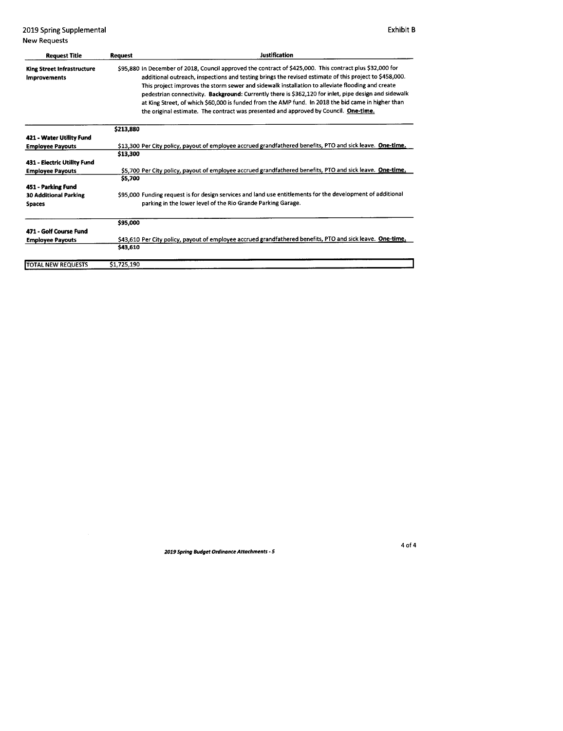2019 Spring Supplemental **Exhibit B** New Requests

| <b>Request Title</b>                                     | <b>Request</b> | <b>Justification</b>                                                                                                                                                                                                                                                                                                                                                                                                                                                                                                                                                                                                           |
|----------------------------------------------------------|----------------|--------------------------------------------------------------------------------------------------------------------------------------------------------------------------------------------------------------------------------------------------------------------------------------------------------------------------------------------------------------------------------------------------------------------------------------------------------------------------------------------------------------------------------------------------------------------------------------------------------------------------------|
| <b>King Street Infrastructure</b><br><b>Improvements</b> |                | \$95,880 In December of 2018, Council approved the contract of \$425,000. This contract plus \$32,000 for<br>additional outreach, inspections and testing brings the revised estimate of this project to \$458,000.<br>This project improves the storm sewer and sidewalk installation to alleviate flooding and create<br>pedestrian connectivity. Background: Currently there is \$362,120 for inlet, pipe design and sidewalk<br>at King Street, of which \$60,000 is funded from the AMP fund. In 2018 the bid came in higher than<br>the original estimate. The contract was presented and approved by Council. One-time. |
|                                                          | \$213,880      |                                                                                                                                                                                                                                                                                                                                                                                                                                                                                                                                                                                                                                |
| 421 - Water Utility Fund                                 |                |                                                                                                                                                                                                                                                                                                                                                                                                                                                                                                                                                                                                                                |
| <b>Employee Payouts</b>                                  |                | \$13,300 Per City policy, payout of employee accrued grandfathered benefits, PTO and sick leave. One-time.                                                                                                                                                                                                                                                                                                                                                                                                                                                                                                                     |
|                                                          | \$13,300       |                                                                                                                                                                                                                                                                                                                                                                                                                                                                                                                                                                                                                                |
| 431 - Electric Utility Fund                              |                |                                                                                                                                                                                                                                                                                                                                                                                                                                                                                                                                                                                                                                |
| <b>Employee Payouts</b>                                  |                | \$5,700 Per City policy, payout of employee accrued grandfathered benefits, PTO and sick leave. One-time.                                                                                                                                                                                                                                                                                                                                                                                                                                                                                                                      |
|                                                          | \$5,700        |                                                                                                                                                                                                                                                                                                                                                                                                                                                                                                                                                                                                                                |
| 451 - Parking Fund                                       |                |                                                                                                                                                                                                                                                                                                                                                                                                                                                                                                                                                                                                                                |
| <b>30 Additional Parking</b>                             |                | \$95,000 Funding request is for design services and land use entitlements for the development of additional                                                                                                                                                                                                                                                                                                                                                                                                                                                                                                                    |
| <b>Spaces</b>                                            |                | parking in the lower level of the Rio Grande Parking Garage.                                                                                                                                                                                                                                                                                                                                                                                                                                                                                                                                                                   |
|                                                          | \$95,000       |                                                                                                                                                                                                                                                                                                                                                                                                                                                                                                                                                                                                                                |
| 471 - Golf Course Fund                                   |                |                                                                                                                                                                                                                                                                                                                                                                                                                                                                                                                                                                                                                                |
| <b>Employee Payouts</b>                                  |                | \$43,610 Per City policy, payout of employee accrued grandfathered benefits, PTO and sick leave. One-time.                                                                                                                                                                                                                                                                                                                                                                                                                                                                                                                     |
|                                                          | \$43,610       |                                                                                                                                                                                                                                                                                                                                                                                                                                                                                                                                                                                                                                |
| <b>TOTAL NEW REQUESTS</b>                                | \$1,725,190    |                                                                                                                                                                                                                                                                                                                                                                                                                                                                                                                                                                                                                                |

2019 Spring Budget Ordinance Attachments- 5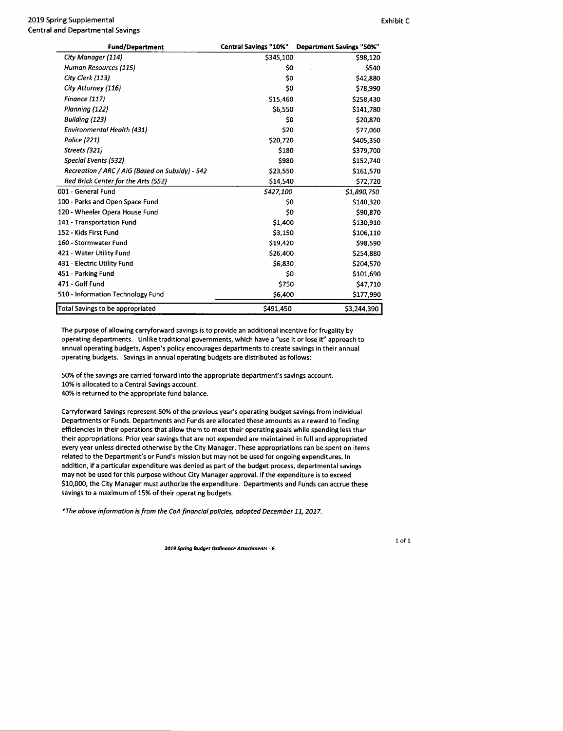#### 2019 Spring Supplemental **Exhibit C** 2019 Spring Supplemental Central and Departmental Savings

| <b>Fund/Department</b>                          | <b>Central Savings "10%"</b> | <b>Department Savings "50%"</b> |
|-------------------------------------------------|------------------------------|---------------------------------|
| City Manager (114)                              | \$345,100                    | \$98,120                        |
| Human Resources (115)                           | \$0                          | \$540                           |
| City Clerk (113)                                | \$0                          | \$42,880                        |
| City Attorney (116)                             | \$0                          | \$78,990                        |
| Finance (117)                                   | \$15,460                     | \$258,430                       |
| Planning (122)                                  | \$6,550                      | \$141,780                       |
| <b>Building (123)</b>                           | \$0                          | \$20,870                        |
| <b>Environmental Health (431)</b>               | \$20                         | \$77,060                        |
| <b>Police (221)</b>                             | \$20,720                     | \$405,350                       |
| Streets (321)                                   | \$180                        | \$379,700                       |
| <b>Special Events (532)</b>                     | \$980                        | \$152,740                       |
| Recreation / ARC / AIG (Based on Subsidy) - 542 | \$23,550                     | \$161,570                       |
| Red Brick Center for the Arts (552)             | \$14,540                     | \$72,720                        |
| 001 - General Fund                              | \$427,100                    | \$1,890,750                     |
| 100 - Parks and Open Space Fund                 | \$0                          | \$140,320                       |
| 120 - Wheeler Opera House Fund                  | \$0                          | \$90,870                        |
| 141 - Transportation Fund                       | \$1,400                      | \$130,910                       |
| 152 - Kids First Fund                           | \$3,150                      | \$106,110                       |

471 - Golf Fund 2008 2012 12:00 470 471 471 471 471 471 472 47, 710 510 - Information Technology Fund 6, 6, 400 177, 990 Total Savings to be appropriated  $$491,450$   $$3,244,390$ The purpose of allowing carryforward savings is to provide an additional incentive for frugality by operating departments. Unlike traditional governments, which have a" use it or lose it" approach to

160- Stormwater Fund 19, 420 98, 590 421 - Water Utility Fund 2526, 26, 400 2526, 26, 400 2526, 26, 400 25254, 880 431 - Electric Utility Fund 6, 830 204, 570 204, 570 204, 570 204, 570 204, 570 204, 570 204, 570 204, 570 204 451 - Parking Fund 101 - 101 - 101 - 101 - 101 - 101 - 101 - 101 - 101 - 101 - 101 - 101 - 101 - 101 - 101 - 1

annual operating budgets, Aspen's policy encourages departments to create savings in their annual operating budgets. Savings in annual operating budgets are distributed as follows:

50% of the savings are carried forward into the appropriate department' <sup>s</sup> savings account. 10% is allocated to <sup>a</sup> Central Savings account.

40% is returned to the appropriate fund balance.

Carryforward Savings represent 50% of the previous year's operating budget savings from individual Departments or Funds. Departments and Funds are allocated these amounts as <sup>a</sup> reward to finding efficiencies in their operations that allow them to meet their operating goals while spending less than their appropriations. Prior year savings that are not expended are maintained in full and appropriated every year unless directed otherwise by the City Manager. These appropriations can be spent on items related to the Department's or Fund's mission but may not be used for ongoing expenditures. In addition, if a particular expenditure was denied as part of the budget process, departmental savings may not be used for this purpose without City Manager approval. If the expenditure is to exceed \$10,000, the City Manager must authorize the expenditure. Departments and Funds can accrue these savings to <sup>a</sup> maximum of 15% of their operating budgets.

The above information is from the CoA financial policies, adopted December 11, 2017.

1019 Spring Budget Ordinance Attachments- <sup>6</sup>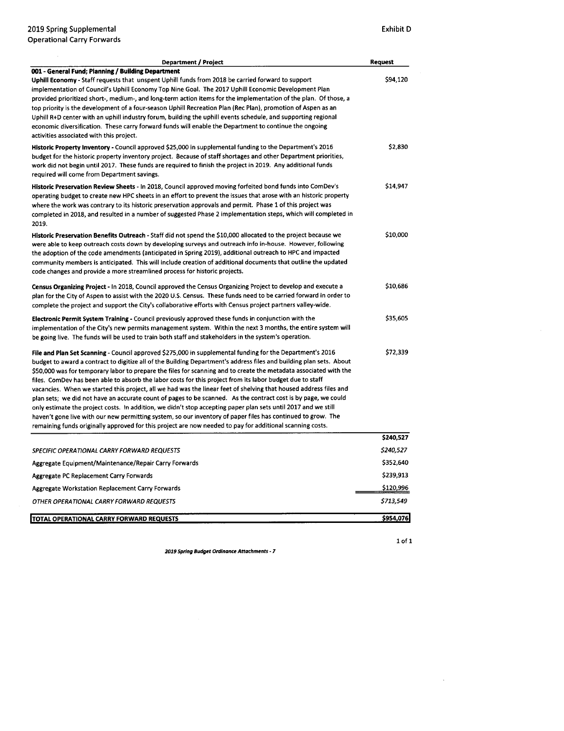| <b>Department / Project</b>                                                                                                                                                                                                                                                                                                                                                                                                                                                                                                                                                                                                                                                                                                                                                                                                                                                                                                                                                                                                                              | Request                |
|----------------------------------------------------------------------------------------------------------------------------------------------------------------------------------------------------------------------------------------------------------------------------------------------------------------------------------------------------------------------------------------------------------------------------------------------------------------------------------------------------------------------------------------------------------------------------------------------------------------------------------------------------------------------------------------------------------------------------------------------------------------------------------------------------------------------------------------------------------------------------------------------------------------------------------------------------------------------------------------------------------------------------------------------------------|------------------------|
| 001 - General Fund; Planning / Building Department<br>Uphill Economy - Staff requests that unspent Uphill funds from 2018 be carried forward to support<br>implementation of Council's Uphill Economy Top Nine Goal. The 2017 Uphill Economic Development Plan<br>provided prioritized short-, medium-, and long-term action items for the implementation of the plan. Of those, a<br>top priority is the development of a four-season Uphill Recreation Plan (Rec Plan), promotion of Aspen as an<br>Uphill R+D center with an uphill industry forum, building the uphill events schedule, and supporting regional<br>economic diversification. These carry forward funds will enable the Department to continue the ongoing<br>activities associated with this project.                                                                                                                                                                                                                                                                                | \$94,120               |
| Historic Property Inventory - Council approved \$25,000 in supplemental funding to the Department's 2016<br>budget for the historic property inventory project. Because of staff shortages and other Department priorities,<br>work did not begin until 2017. These funds are required to finish the project in 2019. Any additional funds<br>required will come from Department savings.                                                                                                                                                                                                                                                                                                                                                                                                                                                                                                                                                                                                                                                                | \$2,830                |
| Historic Preservation Review Sheets - In 2018, Council approved moving forfeited bond funds into ComDev's<br>operating budget to create new HPC sheets in an effort to prevent the issues that arose with an historic property<br>where the work was contrary to its historic preservation approvals and permit. Phase 1 of this project was<br>completed in 2018, and resulted in a number of suggested Phase 2 implementation steps, which will completed in<br>2019.                                                                                                                                                                                                                                                                                                                                                                                                                                                                                                                                                                                  | \$14,947               |
| Historic Preservation Benefits Outreach - Staff did not spend the \$10,000 allocated to the project because we<br>were able to keep outreach costs down by developing surveys and outreach info in-house. However, following<br>the adoption of the code amendments (anticipated in Spring 2019), additional outreach to HPC and impacted<br>community members is anticipated. This will include creation of additional documents that outline the updated<br>code changes and provide a more streamlined process for historic projects.                                                                                                                                                                                                                                                                                                                                                                                                                                                                                                                 | \$10,000               |
| Census Organizing Project - In 2018, Council approved the Census Organizing Project to develop and execute a<br>plan for the City of Aspen to assist with the 2020 U.S. Census. These funds need to be carried forward in order to<br>complete the project and support the City's collaborative efforts with Census project partners valley-wide.                                                                                                                                                                                                                                                                                                                                                                                                                                                                                                                                                                                                                                                                                                        | \$10,686               |
| Electronic Permit System Training - Council previously approved these funds in conjunction with the<br>implementation of the City's new permits management system. Within the next 3 months, the entire system will<br>be going live. The funds will be used to train both staff and stakeholders in the system's operation.                                                                                                                                                                                                                                                                                                                                                                                                                                                                                                                                                                                                                                                                                                                             | \$35,605               |
| File and Plan Set Scanning - Council approved \$275,000 in supplemental funding for the Department's 2016<br>budget to award a contract to digitize all of the Building Department's address files and building plan sets. About<br>\$50,000 was for temporary labor to prepare the files for scanning and to create the metadata associated with the<br>files. ComDev has been able to absorb the labor costs for this project from its labor budget due to staff<br>vacancies. When we started this project, all we had was the linear feet of shelving that housed address files and<br>plan sets; we did not have an accurate count of pages to be scanned. As the contract cost is by page, we could<br>only estimate the project costs. In addition, we didn't stop accepting paper plan sets until 2017 and we still<br>haven't gone live with our new permitting system, so our inventory of paper files has continued to grow. The<br>remaining funds originally approved for this project are now needed to pay for additional scanning costs. | \$72,339               |
|                                                                                                                                                                                                                                                                                                                                                                                                                                                                                                                                                                                                                                                                                                                                                                                                                                                                                                                                                                                                                                                          | \$240,527              |
| SPECIFIC OPERATIONAL CARRY FORWARD REQUESTS                                                                                                                                                                                                                                                                                                                                                                                                                                                                                                                                                                                                                                                                                                                                                                                                                                                                                                                                                                                                              | \$240,527<br>\$352,640 |
| Aggregate Equipment/Maintenance/Repair Carry Forwards<br>Aggregate PC Replacement Carry Forwards                                                                                                                                                                                                                                                                                                                                                                                                                                                                                                                                                                                                                                                                                                                                                                                                                                                                                                                                                         | \$239,913              |
| <b>Aggregate Workstation Replacement Carry Forwards</b>                                                                                                                                                                                                                                                                                                                                                                                                                                                                                                                                                                                                                                                                                                                                                                                                                                                                                                                                                                                                  | \$120,996              |
| OTHER OPERATIONAL CARRY FORWARD REQUESTS                                                                                                                                                                                                                                                                                                                                                                                                                                                                                                                                                                                                                                                                                                                                                                                                                                                                                                                                                                                                                 | \$713,549              |
| <b>TOTAL OPERATIONAL CARRY FORWARD REQUESTS</b>                                                                                                                                                                                                                                                                                                                                                                                                                                                                                                                                                                                                                                                                                                                                                                                                                                                                                                                                                                                                          | \$954,076              |

 $1$  of  $1$ 

 $\sim 10^{-11}$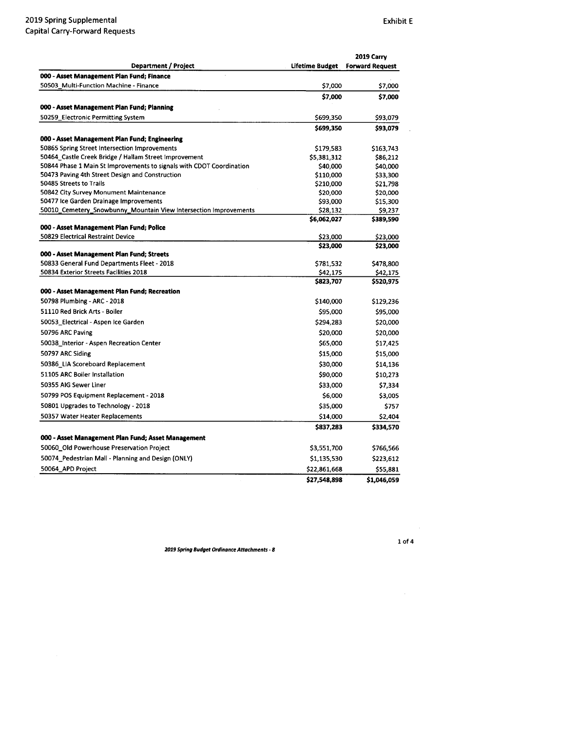|                                                                      |                       | 2019 Carry             |  |
|----------------------------------------------------------------------|-----------------------|------------------------|--|
| <b>Department / Project</b>                                          | Lifetime Budget       | <b>Forward Request</b> |  |
| 000 - Asset Management Plan Fund; Finance                            |                       |                        |  |
| 50503_Multi-Function Machine - Finance                               | \$7,000               | \$7,000                |  |
|                                                                      | \$7,000               | \$7,000                |  |
| 000 - Asset Management Plan Fund; Planning                           |                       |                        |  |
| 50259_Electronic Permitting System                                   | \$699,350             | \$93,079               |  |
|                                                                      | \$699,350             | \$93,079               |  |
| 000 - Asset Management Plan Fund; Engineering                        |                       |                        |  |
| 50865 Spring Street Intersection Improvements                        | \$179,583             | \$163,743              |  |
| 50464_Castle Creek Bridge / Hallam Street Improvement                | \$5,381,312           | \$86,212               |  |
| 50844 Phase 1 Main St Improvements to signals with CDOT Coordination | \$40,000              | \$40,000               |  |
| 50473 Paving 4th Street Design and Construction                      | \$110,000             | \$33,300               |  |
| 50485 Streets to Trails                                              | \$210,000             | \$21,798               |  |
| 50842 City Survey Monument Maintenance                               | \$20,000              | \$20,000               |  |
| 50477 Ice Garden Drainage Improvements                               | \$93,000              | \$15,300               |  |
| 50010_Cemetery_Snowbunny_Mountain View Intersection Improvements     | \$28,132              | \$9,237                |  |
|                                                                      | \$6,062,027           | \$389,590              |  |
| 000 - Asset Management Plan Fund; Police                             |                       |                        |  |
| 50829 Electrical Restraint Device                                    | \$23,000              | \$23,000               |  |
|                                                                      | \$23,000              | \$23,000               |  |
| 000 - Asset Management Plan Fund; Streets                            |                       |                        |  |
| 50833 General Fund Departments Fleet - 2018                          | \$781,532             | \$478,800              |  |
| 50834 Exterior Streets Facilities 2018                               | \$42,175<br>\$823,707 | \$42,175<br>\$520,975  |  |
| 000 - Asset Management Plan Fund; Recreation                         |                       |                        |  |
| 50798 Plumbing - ARC - 2018                                          |                       |                        |  |
|                                                                      | \$140,000             | \$129,236              |  |
| 51110 Red Brick Arts - Boiler                                        | \$95,000              | \$95,000               |  |
| 50053_Electrical - Aspen Ice Garden                                  | \$294,283             | \$20,000               |  |
| 50796 ARC Paving                                                     | \$20,000              | \$20,000               |  |
| 50038 Interior - Aspen Recreation Center                             | \$65,000              | \$17,425               |  |
| 50797 ARC Siding                                                     | \$15,000              | \$15,000               |  |
| 50386_LIA Scoreboard Replacement                                     | \$30,000              | \$14,136               |  |
| 51105 ARC Boiler Installation                                        | \$90,000              | \$10,273               |  |
| 50355 AIG Sewer Liner                                                | \$33,000              | \$7,334                |  |
| 50799 POS Equipment Replacement - 2018                               | \$6,000               | \$3,005                |  |
| 50801 Upgrades to Technology - 2018                                  | \$35,000              | \$757                  |  |
| 50357 Water Heater Replacements                                      |                       |                        |  |
|                                                                      | \$14,000              | \$2,404                |  |
|                                                                      | \$837,283             | \$334,570              |  |
| 000 - Asset Management Plan Fund; Asset Management                   |                       |                        |  |
| 50060_Old Powerhouse Preservation Project                            | \$3,551,700           | \$766,566              |  |
| 50074_Pedestrian Mall - Planning and Design (ONLY)                   | \$1,135,530           | \$223,612              |  |
| 50064_APD Project                                                    | \$22,861,668          | \$55,881               |  |
|                                                                      | \$27,548,898          | \$1,046,059            |  |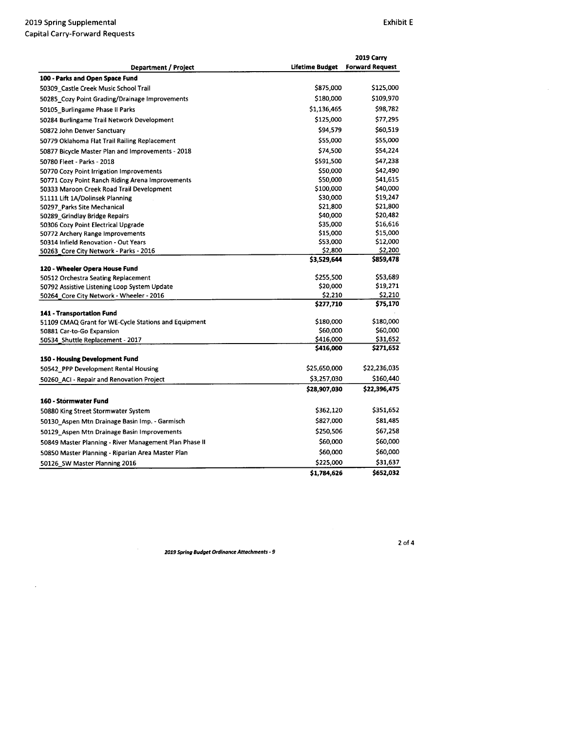$\bar{z}$ 

|                                                                                               |                        | 2019 Carry             |
|-----------------------------------------------------------------------------------------------|------------------------|------------------------|
| <b>Department / Project</b>                                                                   | <b>Lifetime Budget</b> | <b>Forward Request</b> |
| 100 - Parks and Open Space Fund                                                               |                        |                        |
| 50309 Castle Creek Music School Trail                                                         | \$875,000              | \$125,000              |
| 50285 Cozy Point Grading/Drainage Improvements                                                | \$180,000              | \$109,970              |
| 50105 Burlingame Phase II Parks                                                               | \$1,136,465            | \$98,782               |
| 50284 Burlingame Trail Network Development                                                    | \$125,000              | \$77,295               |
| 50872 John Denver Sanctuary                                                                   | \$94,579               | \$60,519               |
| 50779 Oklahoma Flat Trail Railing Replacement                                                 | \$55,000               | \$55,000               |
| 50877 Bicycle Master Plan and Improvements - 2018                                             | \$74,500               | \$54,224               |
| 50780 Fleet - Parks - 2018                                                                    | \$591,500              | \$47,238               |
| 50770 Cozy Point Irrigation Improvements                                                      | \$50,000               | \$42,490               |
|                                                                                               | \$50,000               | \$41,615               |
| 50771 Cozy Point Ranch Riding Arena Improvements<br>50333 Maroon Creek Road Trail Development | \$100,000              | \$40,000               |
|                                                                                               | \$30,000               | \$19,247               |
| 51111 Lift 1A/Dolinsek Planning                                                               | \$21,800               | \$21,800               |
| 50297 Parks Site Mechanical                                                                   |                        | \$20,482               |
| 50289_Grindlay Bridge Repairs                                                                 | \$40,000<br>\$35,000   | \$16,616               |
| 50306 Cozy Point Electrical Upgrade                                                           |                        |                        |
| 50772 Archery Range Improvements                                                              | \$15,000               | \$15,000               |
| 50314 Infield Renovation - Out Years                                                          | \$53,000               | \$12,000               |
| 50263_Core City Network - Parks - 2016                                                        | \$2,800                | \$2,200                |
|                                                                                               | \$3,529,644            | \$859,478              |
| 120 - Wheeler Opera House Fund                                                                | \$255,500              | \$53,689               |
| 50512 Orchestra Seating Replacement                                                           | \$20,000               | \$19,271               |
| 50792 Assistive Listening Loop System Update                                                  | \$2,210                | \$2,210                |
| 50264 Core City Network - Wheeler - 2016                                                      | \$277,710              |                        |
|                                                                                               |                        | \$75,170               |
| 141 - Transportation Fund                                                                     | \$180,000              | \$180,000              |
| 51109 CMAQ Grant for WE-Cycle Stations and Equipment                                          | \$60,000               | \$60,000               |
| 50881 Car-to-Go Expansion                                                                     | \$416,000              | \$31,652               |
| 50534_Shuttle Replacement - 2017                                                              | \$416,000              | \$271,652              |
|                                                                                               |                        |                        |
| 150 - Housing Development Fund                                                                |                        |                        |
| 50542 PPP Development Rental Housing                                                          | \$25,650,000           | \$22,236,035           |
| 50260 ACI - Repair and Renovation Project                                                     | \$3,257,030            | \$160,440              |
|                                                                                               | \$28,907,030           | \$22,396,475           |
| 160 - Stormwater Fund                                                                         |                        |                        |
| 50880 King Street Stormwater System                                                           | \$362,120              | \$351,652              |
| 50130_Aspen Mtn Drainage Basin Imp. - Garmisch                                                | \$827,000              | \$81,485               |
| 50129_Aspen Mtn Drainage Basin Improvements                                                   | \$250,506              | \$67,258               |
| 50849 Master Planning - River Management Plan Phase II                                        | \$60,000               | \$60,000               |
| 50850 Master Planning - Riparian Area Master Plan                                             | \$60,000               | \$60,000               |
| 50126 SW Master Planning 2016                                                                 | \$225,000              | \$31,637               |
|                                                                                               | \$1,784,626            | \$652,032              |

<sup>2019</sup> Spring Budget Ordinance Attachments- <sup>9</sup>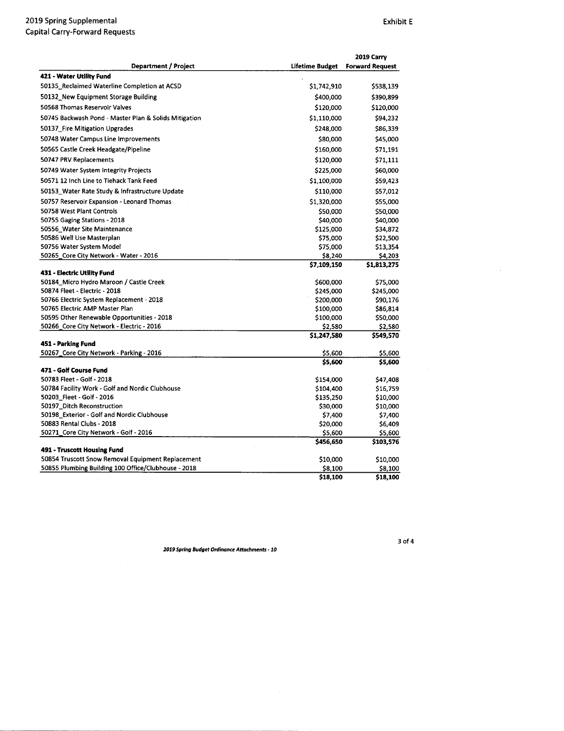|                                                                                  |                        | 2019 Carry             |
|----------------------------------------------------------------------------------|------------------------|------------------------|
| <b>Department / Project</b>                                                      | <b>Lifetime Budget</b> | <b>Forward Request</b> |
| 421 - Water Utility Fund                                                         |                        |                        |
| 50135_Reclaimed Waterline Completion at ACSD                                     | \$1,742,910            | \$538,139              |
| 50132 New Equipment Storage Building                                             | \$400,000              | \$390,899              |
| 50568 Thomas Reservoir Valves                                                    | \$120,000              | \$120,000              |
| 50745 Backwash Pond - Master Plan & Solids Mitigation                            | \$1,110,000            | \$94,232               |
| 50137 Fire Mitigation Upgrades                                                   | \$248,000              | \$86,339               |
| 50748 Water Campus Line Improvements                                             | \$80,000               | \$45,000               |
| 50565 Castle Creek Headgate/Pipeline                                             | \$160,000              | \$71,191               |
| 50747 PRV Replacements                                                           | \$120,000              | \$71,111               |
| 50749 Water System Integrity Projects                                            | \$225,000              | \$60,000               |
| 50571 12 Inch Line to Tiehack Tank Feed                                          | \$1,100,000            | \$59,423               |
| 50153_Water Rate Study & Infrastructure Update                                   | \$110,000              | \$57,012               |
| 50757 Reservoir Expansion - Leonard Thomas                                       | \$1,320,000            |                        |
| 50758 West Plant Controls                                                        |                        | \$55,000               |
|                                                                                  | \$50,000               | \$50,000               |
| 50755 Gaging Stations - 2018                                                     | \$40,000               | \$40,000               |
| 50556_Water Site Maintenance                                                     | \$125,000              | \$34,872               |
| 50586 Well Use Masterplan                                                        | \$75,000               | \$22,500               |
| 50756 Water System Model                                                         | \$75,000               | \$13,354               |
| 50265_Core City Network - Water - 2016                                           | \$8,240                | \$4,203                |
| 431 - Electric Utility Fund                                                      | \$7,109,150            | \$1,813,275            |
| 50184_Micro Hydro Maroon / Castle Creek                                          | \$600,000              | \$75,000               |
| 50874 Fleet - Electric - 2018                                                    | \$245,000              | \$245,000              |
| 50766 Electric System Replacement - 2018                                         | \$200,000              | \$90,176               |
| 50765 Electric AMP Master Plan                                                   | \$100,000              | \$86,814               |
| 50595 Other Renewable Opportunities - 2018                                       | \$100,000              | \$50,000               |
| 50266_Core City Network - Electric - 2016                                        | \$2,580                | \$2,580                |
|                                                                                  | \$1,247,580            | \$549,570              |
| 451 - Parking Fund                                                               |                        |                        |
| 50267_Core City Network - Parking - 2016                                         | \$5,600                | \$5,600                |
|                                                                                  | \$5,600                | \$5,600                |
| 471 - Golf Course Fund                                                           |                        |                        |
| 50783 Fleet - Golf - 2018                                                        | \$154,000              | \$47,408               |
| 50784 Facility Work - Golf and Nordic Clubhouse                                  | \$104,400              | \$16,759               |
| 50203_Fleet - Golf - 2016                                                        | \$135,250              | \$10,000               |
| 50197_Ditch Reconstruction                                                       | \$30,000               | \$10,000               |
| 50198 Exterior - Golf and Nordic Clubhouse                                       | \$7,400                | \$7,400                |
| 50883 Rental Clubs - 2018                                                        | \$20,000               | \$6,409                |
| 50271_Core City Network - Golf - 2016                                            | \$5,600                | \$5,600                |
|                                                                                  | \$456,650              | \$103,576              |
| 491 - Truscott Housing Fund<br>50854 Truscott Snow Removal Equipment Replacement |                        |                        |
|                                                                                  | \$10,000               | \$10,000               |
| 50855 Plumbing Building 100 Office/Clubhouse - 2018                              | \$8,100                | \$8,100                |
|                                                                                  | \$18,100               | \$18,100               |

3of4

 $\bar{z}$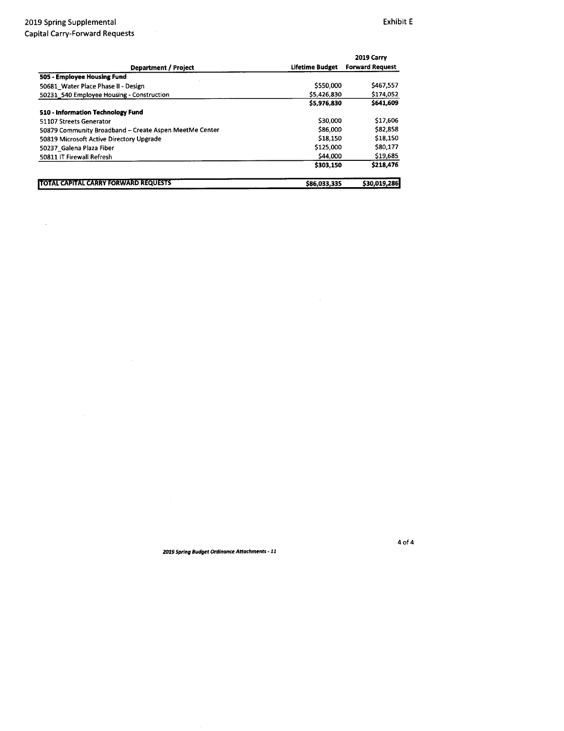$\bar{\beta}$ 

|                                                        |                 | 2019 Carry             |
|--------------------------------------------------------|-----------------|------------------------|
| <b>Department / Project</b>                            | Lifetime Budget | <b>Forward Request</b> |
| 505 - Employee Housing Fund                            |                 |                        |
| 50681 Water Place Phase II - Design                    | \$550,000       | \$467,557              |
| 50231 540 Employee Housing - Construction              | \$5,426,830     | \$174,052              |
|                                                        | \$5,976,830     | \$641,609              |
| 510 - Information Technology Fund                      |                 |                        |
| 51107 Streets Generator                                | \$30,000        | \$17,606               |
| 50879 Community Broadband - Create Aspen MeetMe Center | \$86,000        | \$82,858               |
| 50819 Microsoft Active Directory Upgrade               | \$18,150        | \$18,150               |
| 50237 Galena Plaza Fiber                               | \$125,000       | \$80,177               |
| 50811 IT Firewall Refresh                              | \$44,000        | \$19,685               |
|                                                        | \$303.150       | \$218,476              |
| <b>TOTAL CAPITAL CARRY FORWARD REQUESTS</b>            | \$86,033,335    | \$30,019,286           |

2019 Spring Budget Ordinance Attachments- <sup>11</sup>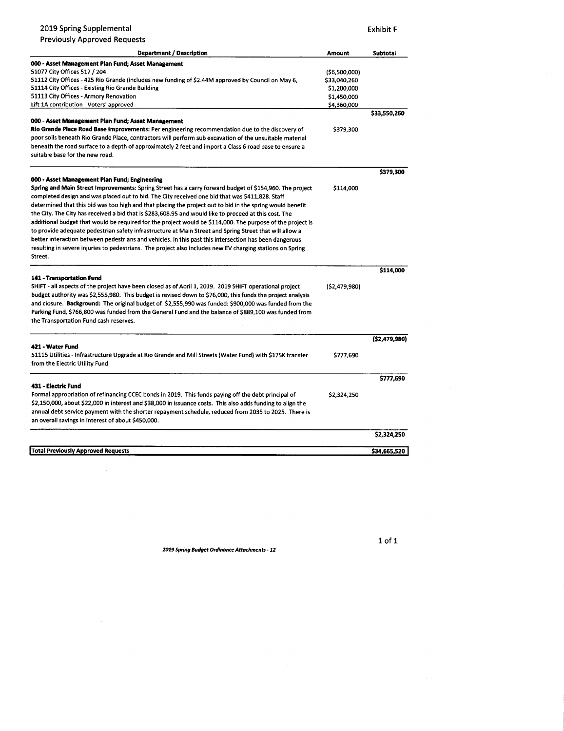| <b>Department / Description</b>                                                                             | Amount         | Subtotal       |
|-------------------------------------------------------------------------------------------------------------|----------------|----------------|
| 000 - Asset Management Plan Fund; Asset Management                                                          |                |                |
| 51077 City Offices 517 / 204                                                                                | ( \$6,500,000) |                |
| 51112 City Offices - 425 Rio Grande (includes new funding of \$2.44M approved by Council on May 6,          | \$33,040,260   |                |
| 51114 City Offices - Existing Rio Grande Building                                                           | \$1,200,000    |                |
| 51113 City Offices - Armory Renovation                                                                      | \$1,450,000    |                |
| Lift 1A contribution - Voters' approved                                                                     | \$4,360,000    |                |
|                                                                                                             |                | \$33,550,260   |
| 000 - Asset Management Plan Fund; Asset Management                                                          |                |                |
| Rio Grande Place Road Base Improvements: Per engineering recommendation due to the discovery of             | \$379,300      |                |
| poor soils beneath Rio Grande Place, contractors will perform sub excavation of the unsuitable material     |                |                |
| beneath the road surface to a depth of approximately 2 feet and import a Class 6 road base to ensure a      |                |                |
| suitable base for the new road.                                                                             |                |                |
|                                                                                                             |                | \$379,300      |
| 000 - Asset Management Plan Fund; Engineering                                                               |                |                |
| Spring and Main Street Improvements: Spring Street has a carry forward budget of \$154,960. The project     | \$114,000      |                |
| completed design and was placed out to bid. The City received one bid that was \$411,828. Staff             |                |                |
| determined that this bid was too high and that placing the project out to bid in the spring would benefit   |                |                |
| the City. The City has received a bid that is \$283,608.95 and would like to proceed at this cost. The      |                |                |
| additional budget that would be required for the project would be \$114,000. The purpose of the project is  |                |                |
| to provide adequate pedestrian safety infrastructure at Main Street and Spring Street that will allow a     |                |                |
| better interaction between pedestrians and vehicles. In this past this intersection has been dangerous      |                |                |
| resulting in severe injuries to pedestrians. The project also includes new EV charging stations on Spring   |                |                |
| Street.                                                                                                     |                |                |
|                                                                                                             |                | \$114,000      |
| 141 - Transportation Fund                                                                                   |                |                |
| SHIFT - all aspects of the project have been closed as of April 1, 2019. 2019 SHIFT operational project     | (52, 479, 980) |                |
| budget authority was \$2,555,980. This budget is revised down to \$76,000, this funds the project analysis  |                |                |
| and closure. Background: The original budget of \$2,555,990 was funded: \$900,000 was funded from the       |                |                |
| Parking Fund, \$766,800 was funded from the General Fund and the balance of \$889,100 was funded from       |                |                |
| the Transportation Fund cash reserves.                                                                      |                |                |
|                                                                                                             |                | (52, 479, 980) |
| 421 - Water Fund                                                                                            |                |                |
| 51115 Utilities - Infrastructure Upgrade at Rio Grande and Mill Streets (Water Fund) with \$175K transfer   | \$777,690      |                |
| from the Electric Utility Fund                                                                              |                |                |
|                                                                                                             |                | \$777,690      |
| 431 - Electric Fund                                                                                         |                |                |
| Formal appropriation of refinancing CCEC bonds in 2019. This funds paying off the debt principal of         | \$2,324,250    |                |
| \$2,150,000, about \$22,000 in interest and \$38,000 in issuance costs. This also adds funding to align the |                |                |
| annual debt service payment with the shorter repayment schedule, reduced from 2035 to 2025. There is        |                |                |
| an overall savings in interest of about \$450,000.                                                          |                |                |
|                                                                                                             |                | \$2,324,250    |
| <b>Total Previously Approved Requests</b>                                                                   |                | \$34,665,520   |
|                                                                                                             |                |                |

2019 Spring Supplemental **Exhibit F** 

1019 Spring Budget Ordinance Attachments- 12

1of1

 $\sim$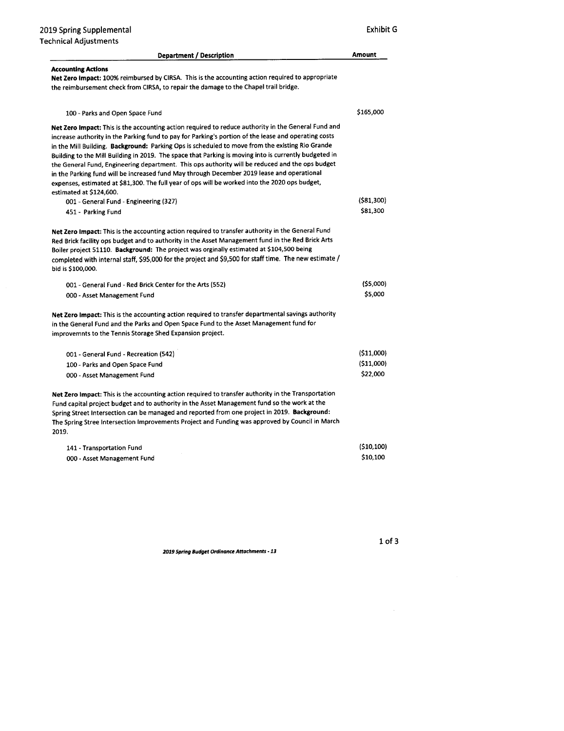| <b>Department / Description</b>                                                                                                                                                                                                                                                                                                                                                                                                                                                                                                                                                                                                                                                                                                                       | <b>Amount</b> |
|-------------------------------------------------------------------------------------------------------------------------------------------------------------------------------------------------------------------------------------------------------------------------------------------------------------------------------------------------------------------------------------------------------------------------------------------------------------------------------------------------------------------------------------------------------------------------------------------------------------------------------------------------------------------------------------------------------------------------------------------------------|---------------|
| <b>Accounting Actions</b><br>Net Zero Impact: 100% reimbursed by CIRSA. This is the accounting action required to appropriate<br>the reimbursement check from CIRSA, to repair the damage to the Chapel trail bridge.                                                                                                                                                                                                                                                                                                                                                                                                                                                                                                                                 |               |
| 100 - Parks and Open Space Fund                                                                                                                                                                                                                                                                                                                                                                                                                                                                                                                                                                                                                                                                                                                       | \$165,000     |
| Net Zero Impact: This is the accounting action required to reduce authority in the General Fund and<br>increase authority in the Parking fund to pay for Parking's portion of the lease and operating costs<br>in the Mill Building. Background: Parking Ops is scheduled to move from the existing Rio Grande<br>Building to the Mill Building in 2019. The space that Parking is moving into is currently budgeted in<br>the General Fund, Engineering department. This ops authority will be reduced and the ops budget<br>in the Parking fund will be increased fund May through December 2019 lease and operational<br>expenses, estimated at \$81,300. The full year of ops will be worked into the 2020 ops budget,<br>estimated at \$124,600. |               |
| 001 - General Fund - Engineering (327)                                                                                                                                                                                                                                                                                                                                                                                                                                                                                                                                                                                                                                                                                                                | (581,300)     |
| 451 - Parking Fund                                                                                                                                                                                                                                                                                                                                                                                                                                                                                                                                                                                                                                                                                                                                    | \$81,300      |
| Net Zero Impact: This is the accounting action required to transfer authority in the General Fund<br>Red Brick facility ops budget and to authority in the Asset Management fund in the Red Brick Arts<br>Boiler project 51110. Background: The project was orginally estimated at \$104,500 being<br>completed with internal staff, \$95,000 for the project and \$9,500 for staff time. The new estimate /<br>bid is \$100,000.                                                                                                                                                                                                                                                                                                                     |               |
| 001 - General Fund - Red Brick Center for the Arts (552)                                                                                                                                                                                                                                                                                                                                                                                                                                                                                                                                                                                                                                                                                              | (55,000)      |
| 000 - Asset Management Fund                                                                                                                                                                                                                                                                                                                                                                                                                                                                                                                                                                                                                                                                                                                           | \$5,000       |
| Net Zero Impact: This is the accounting action required to transfer departmental savings authority<br>in the General Fund and the Parks and Open Space Fund to the Asset Management fund for<br>improvemnts to the Tennis Storage Shed Expansion project.                                                                                                                                                                                                                                                                                                                                                                                                                                                                                             |               |
| 001 - General Fund - Recreation (542)                                                                                                                                                                                                                                                                                                                                                                                                                                                                                                                                                                                                                                                                                                                 | (511,000)     |
| 100 - Parks and Open Space Fund                                                                                                                                                                                                                                                                                                                                                                                                                                                                                                                                                                                                                                                                                                                       | (\$11,000)    |
| 000 - Asset Management Fund                                                                                                                                                                                                                                                                                                                                                                                                                                                                                                                                                                                                                                                                                                                           | \$22,000      |
| Net Zero Impact: This is the accounting action required to transfer authority in the Transportation<br>Fund capital project budget and to authority in the Asset Management fund so the work at the<br>Spring Street Intersection can be managed and reported from one project in 2019. Background:<br>The Spring Stree Intersection Improvements Project and Funding was approved by Council in March<br>2019.                                                                                                                                                                                                                                                                                                                                       |               |

| 141 - Transportation Fund   | (510.100) |
|-----------------------------|-----------|
| 000 - Asset Management Fund | \$10.100  |

 $\sim 10^6$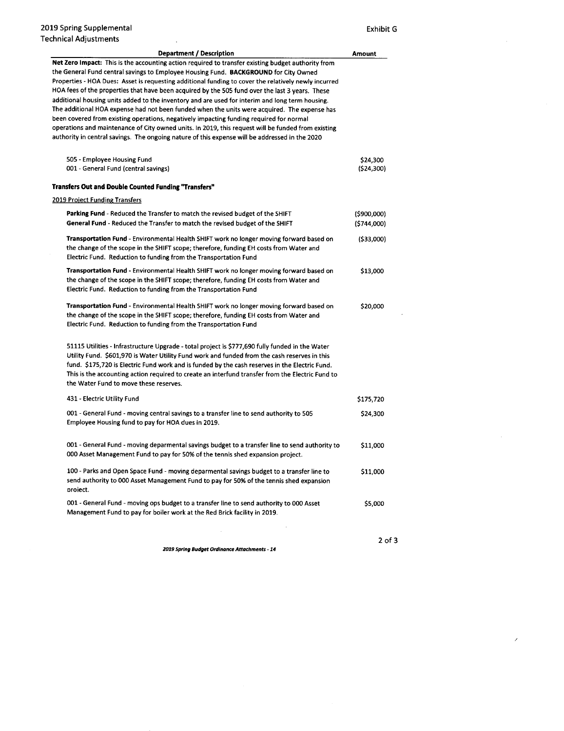| <b>Department / Description</b>                                                                                                                                                                                                                                                                                                                                                                                                                                                                                                                                                                                                                                                                                                                                                                                                                                                                             | Amount                    |
|-------------------------------------------------------------------------------------------------------------------------------------------------------------------------------------------------------------------------------------------------------------------------------------------------------------------------------------------------------------------------------------------------------------------------------------------------------------------------------------------------------------------------------------------------------------------------------------------------------------------------------------------------------------------------------------------------------------------------------------------------------------------------------------------------------------------------------------------------------------------------------------------------------------|---------------------------|
| Net Zero Impact: This is the accounting action required to transfer existing budget authority from<br>the General Fund central savings to Employee Housing Fund. BACKGROUND for City Owned<br>Properties - HOA Dues: Asset is requesting additional funding to cover the relatively newly incurred<br>HOA fees of the properties that have been acquired by the 505 fund over the last 3 years. These<br>additional housing units added to the inventory and are used for interim and long term housing.<br>The additional HOA expense had not been funded when the units were acquired. The expense has<br>been covered from existing operations, negatively impacting funding required for normal<br>operations and maintenance of City owned units. In 2019, this request will be funded from existing<br>authority in central savings. The ongoing nature of this expense will be addressed in the 2020 |                           |
| 505 - Employee Housing Fund<br>001 - General Fund (central savings)                                                                                                                                                                                                                                                                                                                                                                                                                                                                                                                                                                                                                                                                                                                                                                                                                                         | \$24,300<br>(524, 300)    |
| <b>Transfers Out and Double Counted Funding "Transfers"</b>                                                                                                                                                                                                                                                                                                                                                                                                                                                                                                                                                                                                                                                                                                                                                                                                                                                 |                           |
| <b>2019 Project Funding Transfers</b>                                                                                                                                                                                                                                                                                                                                                                                                                                                                                                                                                                                                                                                                                                                                                                                                                                                                       |                           |
| <b>Parking Fund</b> - Reduced the Transfer to match the revised budget of the SHIFT<br>General Fund - Reduced the Transfer to match the revised budget of the SHIFT                                                                                                                                                                                                                                                                                                                                                                                                                                                                                                                                                                                                                                                                                                                                         | (5900,000)<br>(\$744,000) |
| <b>Transportation Fund</b> - Environmental Health SHIFT work no longer moving forward based on<br>the change of the scope in the SHIFT scope; therefore, funding EH costs from Water and<br>Electric Fund. Reduction to funding from the Transportation Fund                                                                                                                                                                                                                                                                                                                                                                                                                                                                                                                                                                                                                                                | (533,000)                 |
| <b>Transportation Fund</b> - Environmental Health SHIFT work no longer moving forward based on<br>the change of the scope in the SHIFT scope; therefore, funding EH costs from Water and<br>Electric Fund. Reduction to funding from the Transportation Fund                                                                                                                                                                                                                                                                                                                                                                                                                                                                                                                                                                                                                                                | \$13,000                  |
| <b>Transportation Fund</b> - Environmental Health SHIFT work no longer moving forward based on<br>the change of the scope in the SHIFT scope; therefore, funding EH costs from Water and<br>Electric Fund. Reduction to funding from the Transportation Fund                                                                                                                                                                                                                                                                                                                                                                                                                                                                                                                                                                                                                                                | \$20,000                  |
| 51115 Utilities - Infrastructure Upgrade - total project is \$777,690 fully funded in the Water<br>Utility Fund. \$601,970 is Water Utility Fund work and funded from the cash reserves in this<br>fund. \$175,720 is Electric Fund work and is funded by the cash reserves in the Electric Fund.<br>This is the accounting action required to create an interfund transfer from the Electric Fund to<br>the Water Fund to move these reserves.                                                                                                                                                                                                                                                                                                                                                                                                                                                             |                           |
| 431 - Electric Utility Fund                                                                                                                                                                                                                                                                                                                                                                                                                                                                                                                                                                                                                                                                                                                                                                                                                                                                                 | \$175,720                 |
| 001 - General Fund - moving central savings to a transfer line to send authority to 505<br>Employee Housing fund to pay for HOA dues in 2019.                                                                                                                                                                                                                                                                                                                                                                                                                                                                                                                                                                                                                                                                                                                                                               | \$24,300                  |
| 001 - General Fund - moving deparmental savings budget to a transfer line to send authority to<br>000 Asset Management Fund to pay for 50% of the tennis shed expansion project.                                                                                                                                                                                                                                                                                                                                                                                                                                                                                                                                                                                                                                                                                                                            | \$11,000                  |
| 100 - Parks and Open Space Fund - moving deparmental savings budget to a transfer line to<br>send authority to 000 Asset Management Fund to pay for 50% of the tennis shed expansion<br>project.                                                                                                                                                                                                                                                                                                                                                                                                                                                                                                                                                                                                                                                                                                            | \$11,000                  |
| 001 - General Fund - moving ops budget to a transfer line to send authority to 000 Asset<br>Management Fund to pay for boiler work at the Red Brick facility in 2019.                                                                                                                                                                                                                                                                                                                                                                                                                                                                                                                                                                                                                                                                                                                                       | \$5,000                   |
|                                                                                                                                                                                                                                                                                                                                                                                                                                                                                                                                                                                                                                                                                                                                                                                                                                                                                                             |                           |

2of3